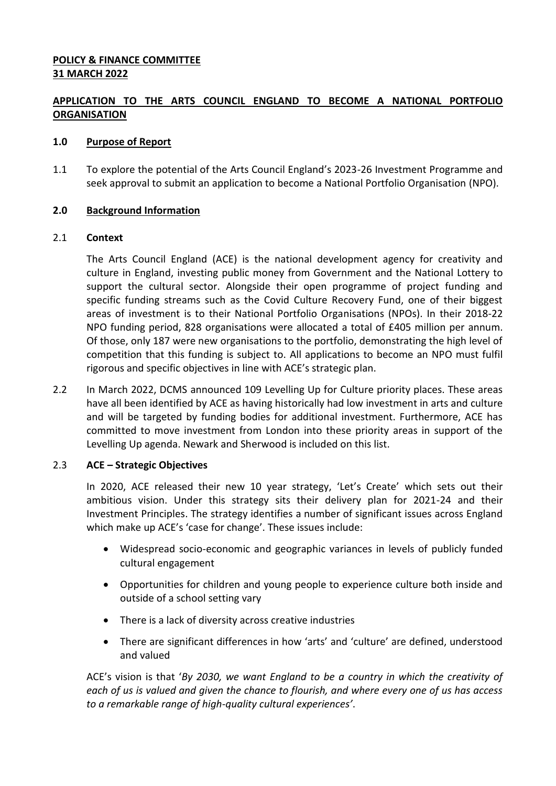# **POLICY & FINANCE COMMITTEE 31 MARCH 2022**

# **APPLICATION TO THE ARTS COUNCIL ENGLAND TO BECOME A NATIONAL PORTFOLIO ORGANISATION**

# **1.0 Purpose of Report**

1.1 To explore the potential of the Arts Council England's 2023-26 Investment Programme and seek approval to submit an application to become a National Portfolio Organisation (NPO).

# **2.0 Background Information**

# 2.1 **Context**

The Arts Council England (ACE) is the national development agency for creativity and culture in England, investing public money from Government and the National Lottery to support the cultural sector. Alongside their open programme of project funding and specific funding streams such as the Covid Culture Recovery Fund, one of their biggest areas of investment is to their National Portfolio Organisations (NPOs). In their 2018-22 NPO funding period, 828 organisations were allocated a total of £405 million per annum. Of those, only 187 were new organisations to the portfolio, demonstrating the high level of competition that this funding is subject to. All applications to become an NPO must fulfil rigorous and specific objectives in line with ACE's strategic plan.

2.2 In March 2022, DCMS announced 109 Levelling Up for Culture priority places. These areas have all been identified by ACE as having historically had low investment in arts and culture and will be targeted by funding bodies for additional investment. Furthermore, ACE has committed to move investment from London into these priority areas in support of the Levelling Up agenda. Newark and Sherwood is included on this list.

# 2.3 **ACE – Strategic Objectives**

In 2020, ACE released their new 10 year strategy, 'Let's Create' which sets out their ambitious vision. Under this strategy sits their delivery plan for 2021-24 and their Investment Principles. The strategy identifies a number of significant issues across England which make up ACE's 'case for change'. These issues include:

- Widespread socio-economic and geographic variances in levels of publicly funded cultural engagement
- Opportunities for children and young people to experience culture both inside and outside of a school setting vary
- There is a lack of diversity across creative industries
- There are significant differences in how 'arts' and 'culture' are defined, understood and valued

ACE's vision is that '*By 2030, we want England to be a country in which the creativity of each of us is valued and given the chance to flourish, and where every one of us has access to a remarkable range of high-quality cultural experiences'*.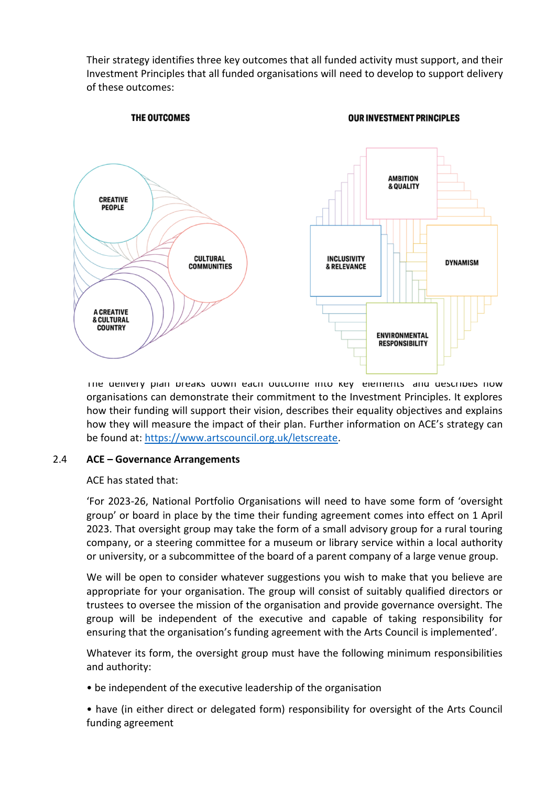Their strategy identifies three key outcomes that all funded activity must support, and their Investment Principles that all funded organisations will need to develop to support delivery of these outcomes:



The delivery plan breaks down each outcome into key elements and describes how organisations can demonstrate their commitment to the Investment Principles. It explores how their funding will support their vision, describes their equality objectives and explains how they will measure the impact of their plan. Further information on ACE's strategy can be found at: [https://www.artscouncil.org.uk/letscreate.](https://www.artscouncil.org.uk/letscreate)

# 2.4 **ACE – Governance Arrangements**

# ACE has stated that:

'For 2023-26, National Portfolio Organisations will need to have some form of 'oversight group' or board in place by the time their funding agreement comes into effect on 1 April 2023. That oversight group may take the form of a small advisory group for a rural touring company, or a steering committee for a museum or library service within a local authority or university, or a subcommittee of the board of a parent company of a large venue group.

We will be open to consider whatever suggestions you wish to make that you believe are appropriate for your organisation. The group will consist of suitably qualified directors or trustees to oversee the mission of the organisation and provide governance oversight. The group will be independent of the executive and capable of taking responsibility for ensuring that the organisation's funding agreement with the Arts Council is implemented'.

Whatever its form, the oversight group must have the following minimum responsibilities and authority:

• be independent of the executive leadership of the organisation

• have (in either direct or delegated form) responsibility for oversight of the Arts Council funding agreement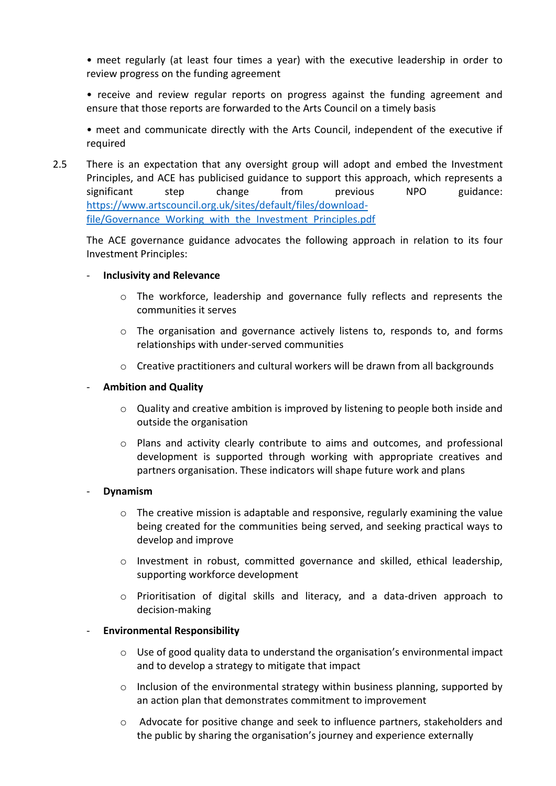• meet regularly (at least four times a year) with the executive leadership in order to review progress on the funding agreement

• receive and review regular reports on progress against the funding agreement and ensure that those reports are forwarded to the Arts Council on a timely basis

• meet and communicate directly with the Arts Council, independent of the executive if required

2.5 There is an expectation that any oversight group will adopt and embed the Investment Principles, and ACE has publicised guidance to support this approach, which represents a significant step change from previous NPO guidance: [https://www.artscouncil.org.uk/sites/default/files/download](https://www.artscouncil.org.uk/sites/default/files/download-file/Governance_Working_with_the_Investment_Principles.pdf)file/Governance Working with the Investment Principles.pdf

The ACE governance guidance advocates the following approach in relation to its four Investment Principles:

- **Inclusivity and Relevance** 
	- $\circ$  The workforce, leadership and governance fully reflects and represents the communities it serves
	- o The organisation and governance actively listens to, responds to, and forms relationships with under-served communities
	- $\circ$  Creative practitioners and cultural workers will be drawn from all backgrounds

# - **Ambition and Quality**

- $\circ$  Quality and creative ambition is improved by listening to people both inside and outside the organisation
- o Plans and activity clearly contribute to aims and outcomes, and professional development is supported through working with appropriate creatives and partners organisation. These indicators will shape future work and plans

# - **Dynamism**

- $\circ$  The creative mission is adaptable and responsive, regularly examining the value being created for the communities being served, and seeking practical ways to develop and improve
- o Investment in robust, committed governance and skilled, ethical leadership, supporting workforce development
- o Prioritisation of digital skills and literacy, and a data-driven approach to decision-making

# - **Environmental Responsibility**

- $\circ$  Use of good quality data to understand the organisation's environmental impact and to develop a strategy to mitigate that impact
- $\circ$  Inclusion of the environmental strategy within business planning, supported by an action plan that demonstrates commitment to improvement
- o Advocate for positive change and seek to influence partners, stakeholders and the public by sharing the organisation's journey and experience externally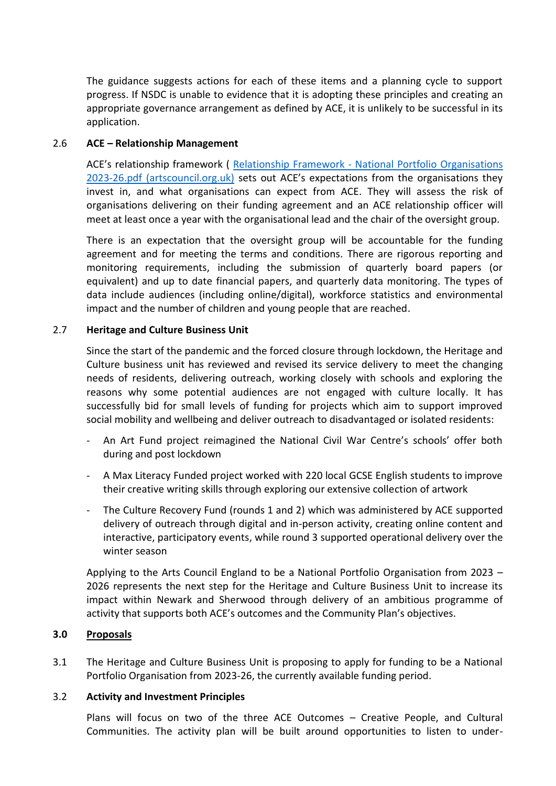The guidance suggests actions for each of these items and a planning cycle to support progress. If NSDC is unable to evidence that it is adopting these principles and creating an appropriate governance arrangement as defined by ACE, it is unlikely to be successful in its application.

# 2.6 **ACE – Relationship Management**

ACE's relationship framework ( Relationship Framework - [National Portfolio Organisations](https://www.artscouncil.org.uk/sites/default/files/download-file/Relationship%20Framework%20-%20National%20Portfolio%20Organisations%202023-26.pdf)  [2023-26.pdf \(artscouncil.org.uk\)](https://www.artscouncil.org.uk/sites/default/files/download-file/Relationship%20Framework%20-%20National%20Portfolio%20Organisations%202023-26.pdf) sets out ACE's expectations from the organisations they invest in, and what organisations can expect from ACE. They will assess the risk of organisations delivering on their funding agreement and an ACE relationship officer will meet at least once a year with the organisational lead and the chair of the oversight group.

There is an expectation that the oversight group will be accountable for the funding agreement and for meeting the terms and conditions. There are rigorous reporting and monitoring requirements, including the submission of quarterly board papers (or equivalent) and up to date financial papers, and quarterly data monitoring. The types of data include audiences (including online/digital), workforce statistics and environmental impact and the number of children and young people that are reached.

# 2.7 **Heritage and Culture Business Unit**

Since the start of the pandemic and the forced closure through lockdown, the Heritage and Culture business unit has reviewed and revised its service delivery to meet the changing needs of residents, delivering outreach, working closely with schools and exploring the reasons why some potential audiences are not engaged with culture locally. It has successfully bid for small levels of funding for projects which aim to support improved social mobility and wellbeing and deliver outreach to disadvantaged or isolated residents:

- An Art Fund project reimagined the National Civil War Centre's schools' offer both during and post lockdown
- A Max Literacy Funded project worked with 220 local GCSE English students to improve their creative writing skills through exploring our extensive collection of artwork
- The Culture Recovery Fund (rounds 1 and 2) which was administered by ACE supported delivery of outreach through digital and in-person activity, creating online content and interactive, participatory events, while round 3 supported operational delivery over the winter season

Applying to the Arts Council England to be a National Portfolio Organisation from 2023 – 2026 represents the next step for the Heritage and Culture Business Unit to increase its impact within Newark and Sherwood through delivery of an ambitious programme of activity that supports both ACE's outcomes and the Community Plan's objectives.

# **3.0 Proposals**

3.1 The Heritage and Culture Business Unit is proposing to apply for funding to be a National Portfolio Organisation from 2023-26, the currently available funding period.

# 3.2 **Activity and Investment Principles**

Plans will focus on two of the three ACE Outcomes – Creative People, and Cultural Communities. The activity plan will be built around opportunities to listen to under-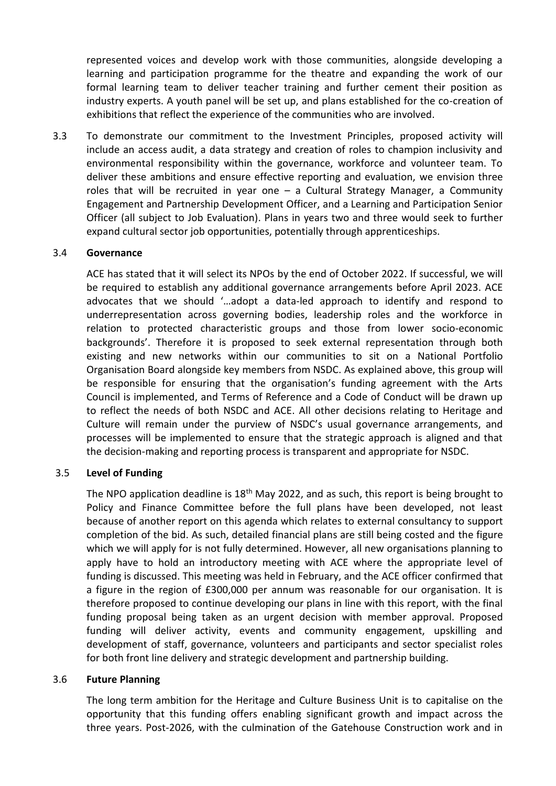represented voices and develop work with those communities, alongside developing a learning and participation programme for the theatre and expanding the work of our formal learning team to deliver teacher training and further cement their position as industry experts. A youth panel will be set up, and plans established for the co-creation of exhibitions that reflect the experience of the communities who are involved.

3.3 To demonstrate our commitment to the Investment Principles, proposed activity will include an access audit, a data strategy and creation of roles to champion inclusivity and environmental responsibility within the governance, workforce and volunteer team. To deliver these ambitions and ensure effective reporting and evaluation, we envision three roles that will be recruited in year one – a Cultural Strategy Manager, a Community Engagement and Partnership Development Officer, and a Learning and Participation Senior Officer (all subject to Job Evaluation). Plans in years two and three would seek to further expand cultural sector job opportunities, potentially through apprenticeships.

#### 3.4 **Governance**

ACE has stated that it will select its NPOs by the end of October 2022. If successful, we will be required to establish any additional governance arrangements before April 2023. ACE advocates that we should '…adopt a data-led approach to identify and respond to underrepresentation across governing bodies, leadership roles and the workforce in relation to protected characteristic groups and those from lower socio-economic backgrounds'. Therefore it is proposed to seek external representation through both existing and new networks within our communities to sit on a National Portfolio Organisation Board alongside key members from NSDC. As explained above, this group will be responsible for ensuring that the organisation's funding agreement with the Arts Council is implemented, and Terms of Reference and a Code of Conduct will be drawn up to reflect the needs of both NSDC and ACE. All other decisions relating to Heritage and Culture will remain under the purview of NSDC's usual governance arrangements, and processes will be implemented to ensure that the strategic approach is aligned and that the decision-making and reporting process is transparent and appropriate for NSDC.

# 3.5 **Level of Funding**

The NPO application deadline is  $18<sup>th</sup>$  May 2022, and as such, this report is being brought to Policy and Finance Committee before the full plans have been developed, not least because of another report on this agenda which relates to external consultancy to support completion of the bid. As such, detailed financial plans are still being costed and the figure which we will apply for is not fully determined. However, all new organisations planning to apply have to hold an introductory meeting with ACE where the appropriate level of funding is discussed. This meeting was held in February, and the ACE officer confirmed that a figure in the region of £300,000 per annum was reasonable for our organisation. It is therefore proposed to continue developing our plans in line with this report, with the final funding proposal being taken as an urgent decision with member approval. Proposed funding will deliver activity, events and community engagement, upskilling and development of staff, governance, volunteers and participants and sector specialist roles for both front line delivery and strategic development and partnership building.

#### 3.6 **Future Planning**

The long term ambition for the Heritage and Culture Business Unit is to capitalise on the opportunity that this funding offers enabling significant growth and impact across the three years. Post-2026, with the culmination of the Gatehouse Construction work and in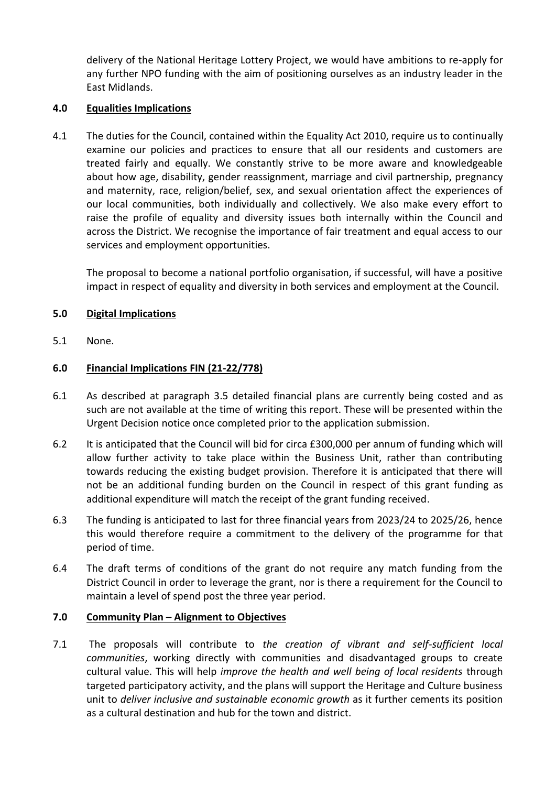delivery of the National Heritage Lottery Project, we would have ambitions to re-apply for any further NPO funding with the aim of positioning ourselves as an industry leader in the East Midlands.

# **4.0 Equalities Implications**

4.1 The duties for the Council, contained within the Equality Act 2010, require us to continually examine our policies and practices to ensure that all our residents and customers are treated fairly and equally. We constantly strive to be more aware and knowledgeable about how age, disability, gender reassignment, marriage and civil partnership, pregnancy and maternity, race, religion/belief, sex, and sexual orientation affect the experiences of our local communities, both individually and collectively. We also make every effort to raise the profile of equality and diversity issues both internally within the Council and across the District. We recognise the importance of fair treatment and equal access to our services and employment opportunities.

The proposal to become a national portfolio organisation, if successful, will have a positive impact in respect of equality and diversity in both services and employment at the Council.

# **5.0 Digital Implications**

5.1 None.

# **6.0 Financial Implications FIN (21-22/778)**

- 6.1 As described at paragraph 3.5 detailed financial plans are currently being costed and as such are not available at the time of writing this report. These will be presented within the Urgent Decision notice once completed prior to the application submission.
- 6.2 It is anticipated that the Council will bid for circa £300,000 per annum of funding which will allow further activity to take place within the Business Unit, rather than contributing towards reducing the existing budget provision. Therefore it is anticipated that there will not be an additional funding burden on the Council in respect of this grant funding as additional expenditure will match the receipt of the grant funding received.
- 6.3 The funding is anticipated to last for three financial years from 2023/24 to 2025/26, hence this would therefore require a commitment to the delivery of the programme for that period of time.
- 6.4 The draft terms of conditions of the grant do not require any match funding from the District Council in order to leverage the grant, nor is there a requirement for the Council to maintain a level of spend post the three year period.

# **7.0 Community Plan – Alignment to Objectives**

7.1 The proposals will contribute to *the creation of vibrant and self-sufficient local communities*, working directly with communities and disadvantaged groups to create cultural value. This will help *improve the health and well being of local residents* through targeted participatory activity, and the plans will support the Heritage and Culture business unit to *deliver inclusive and sustainable economic growth* as it further cements its position as a cultural destination and hub for the town and district.